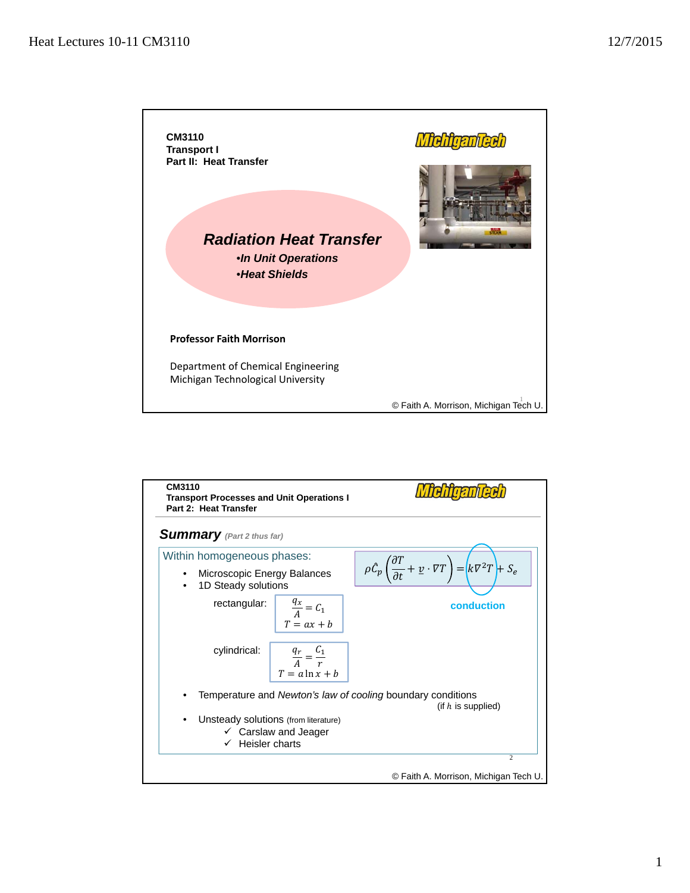

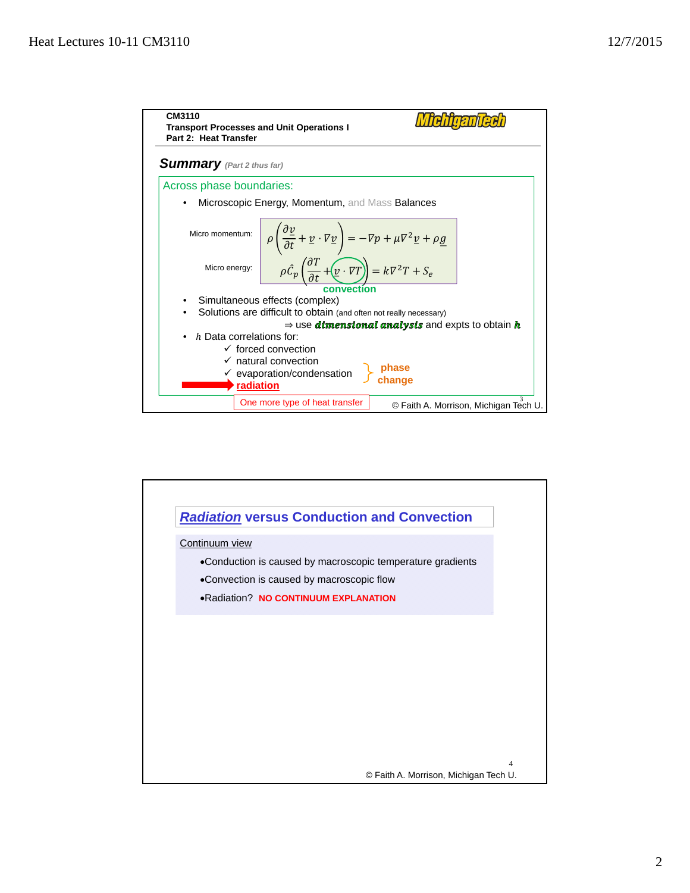

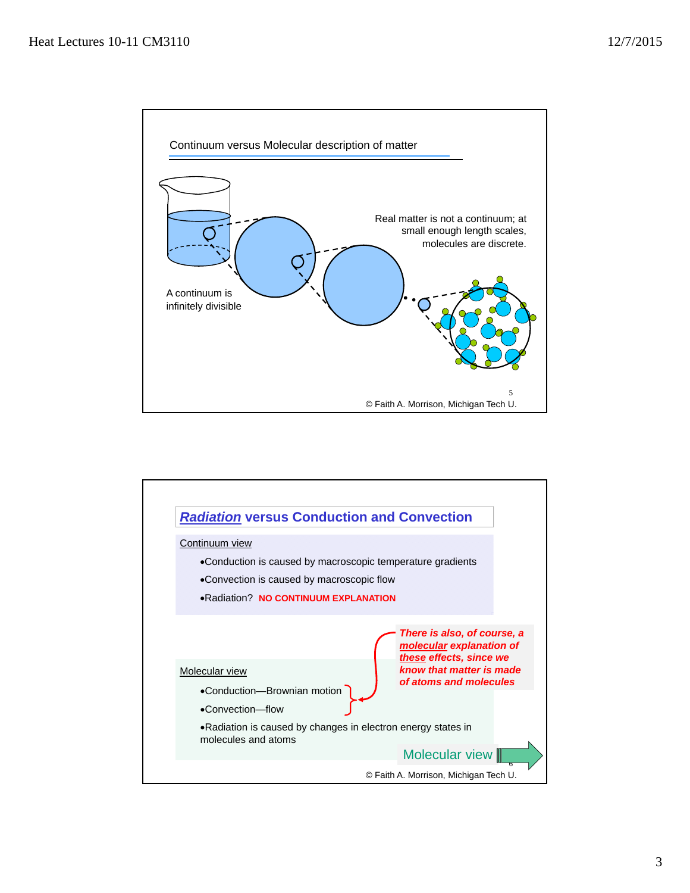

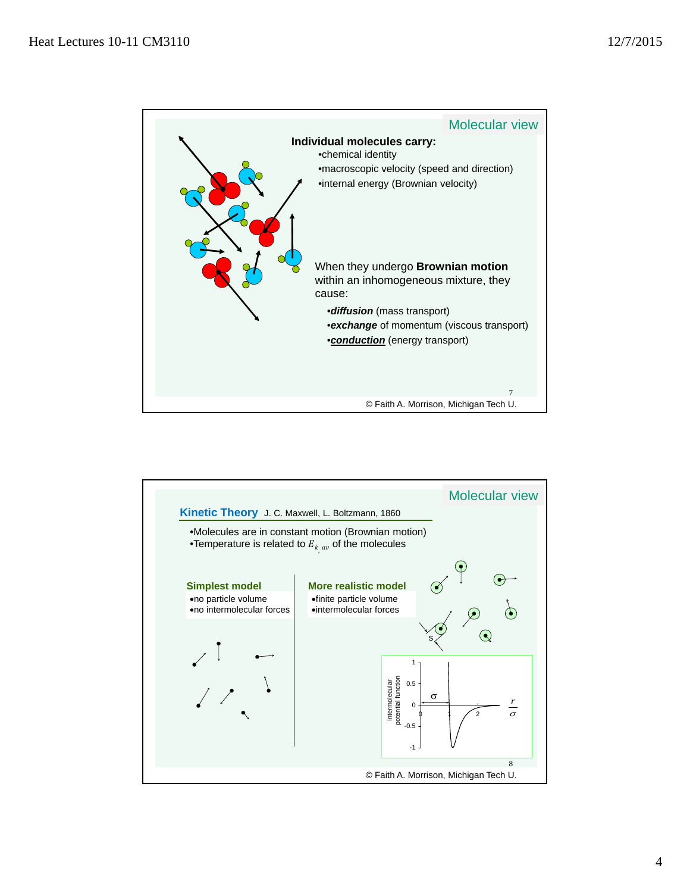

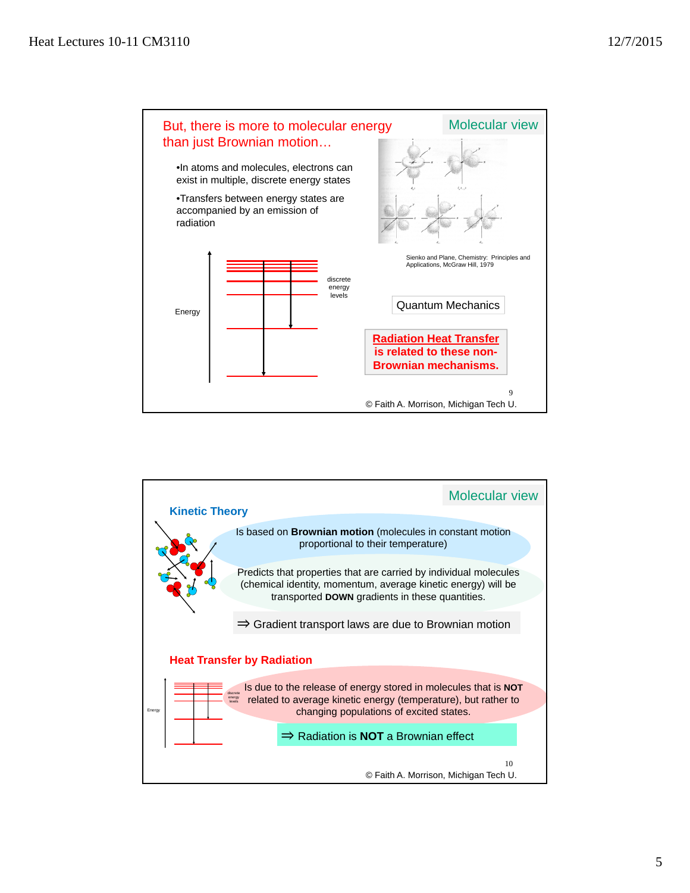

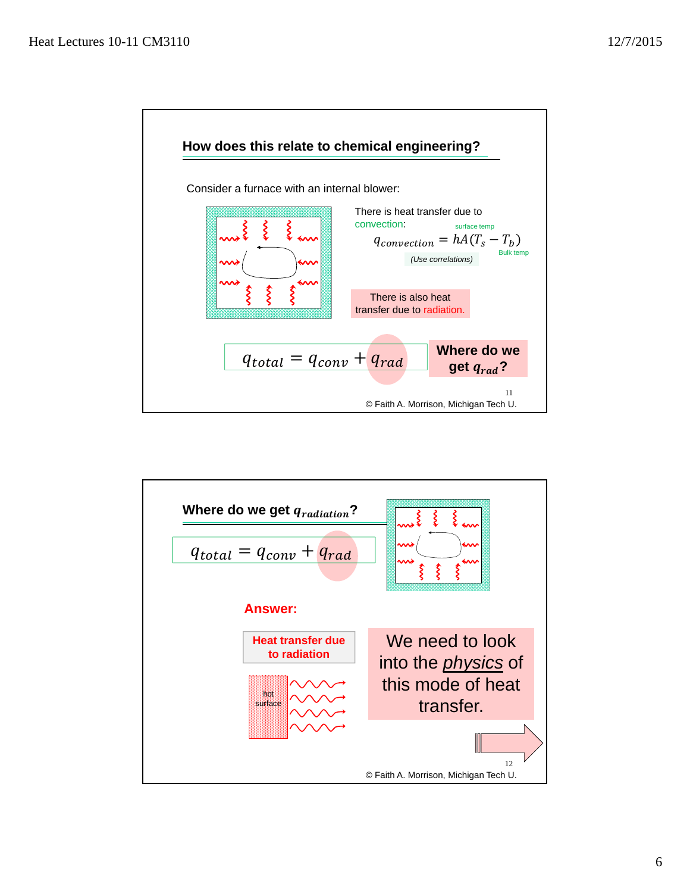

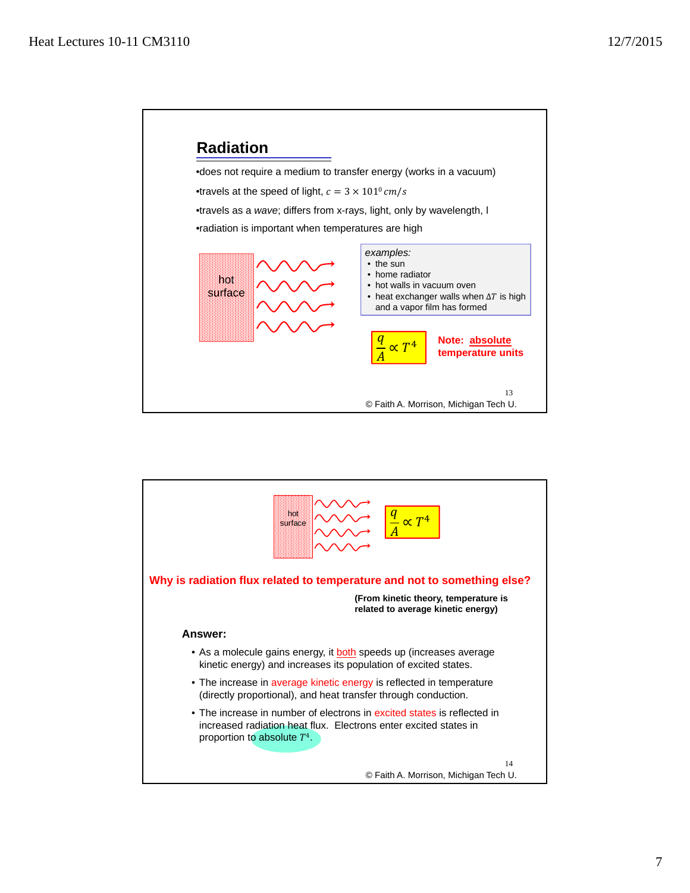

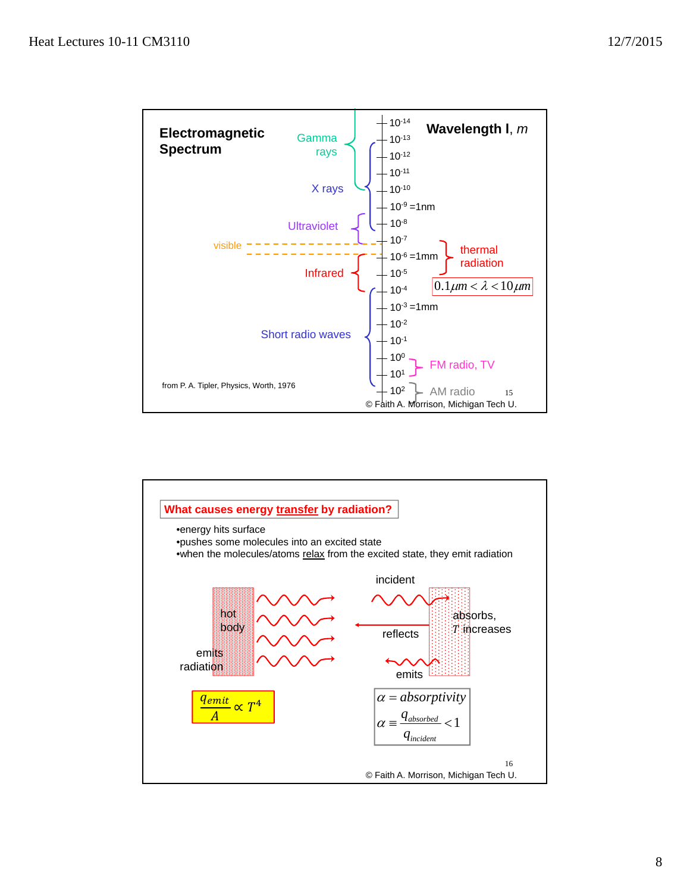

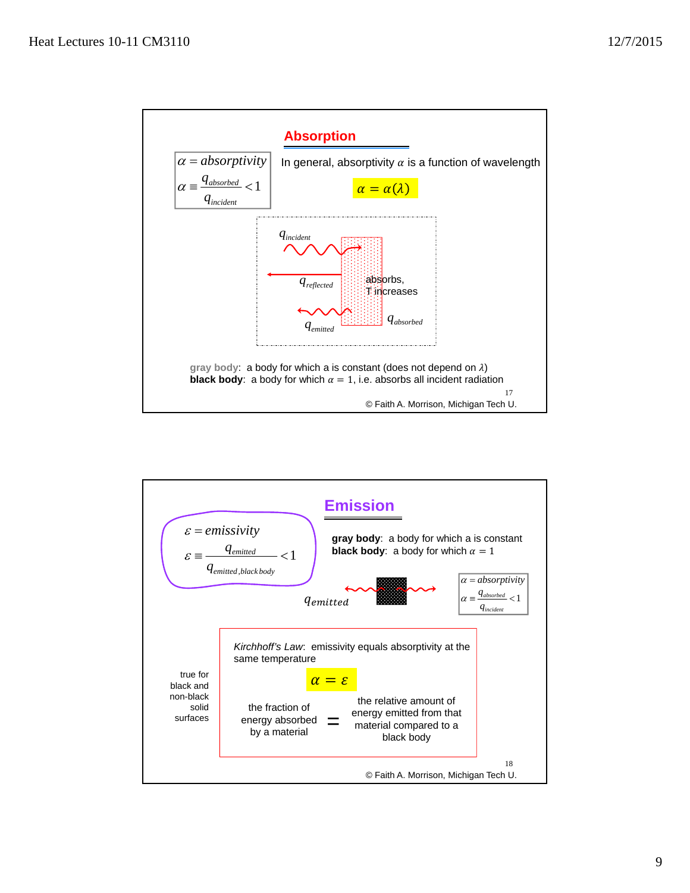

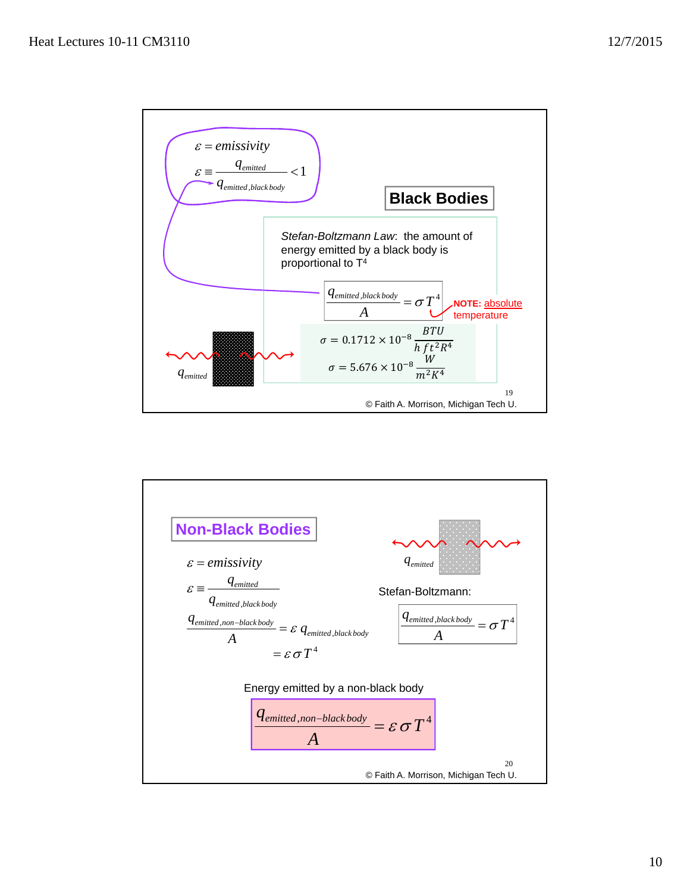

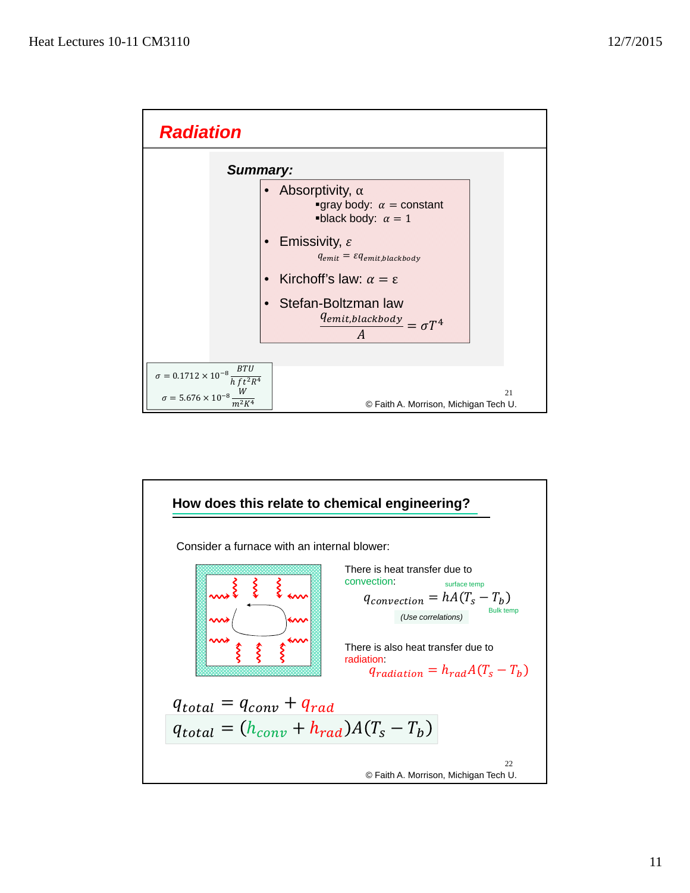

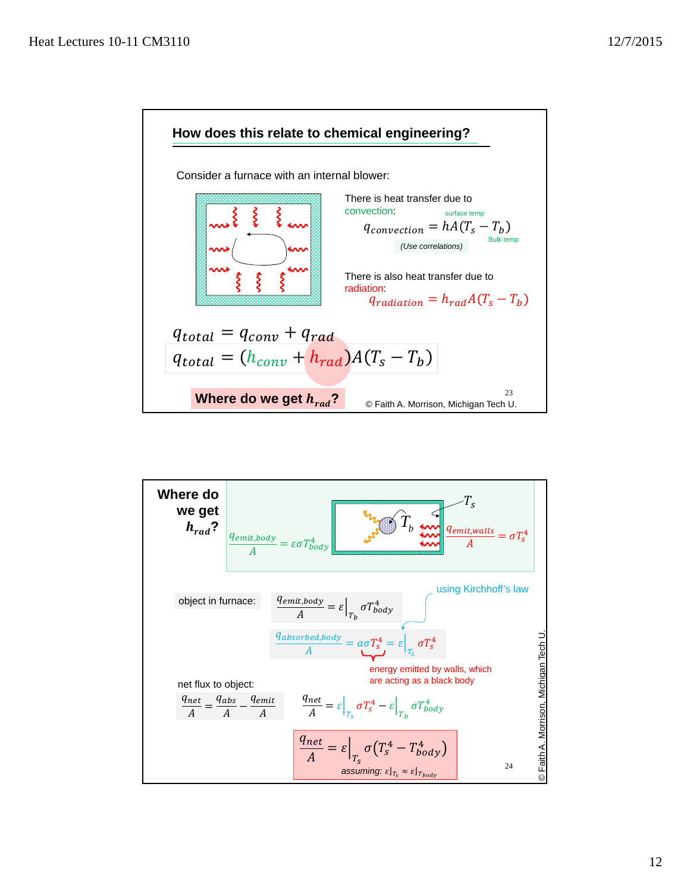

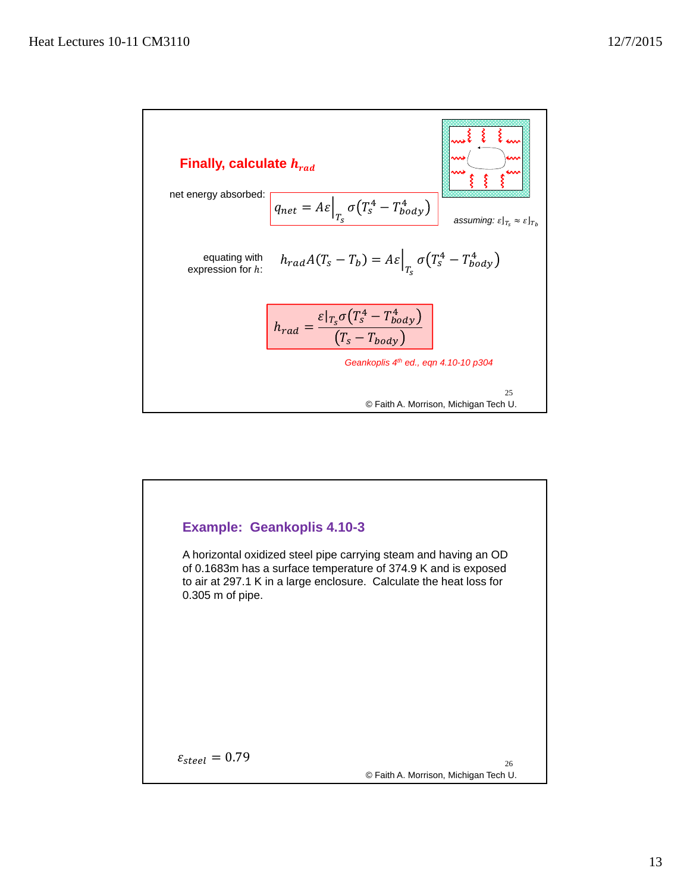

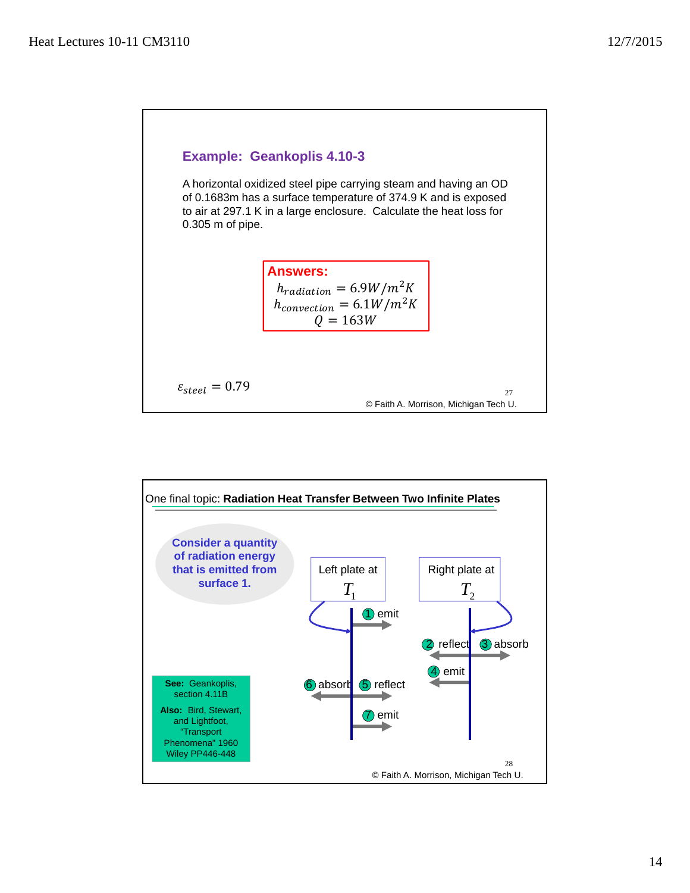

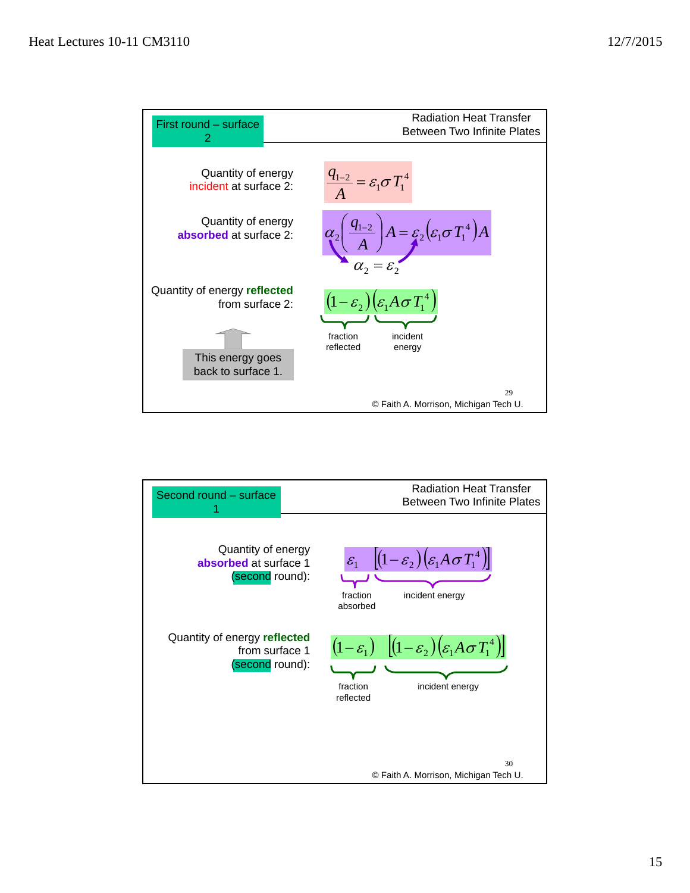

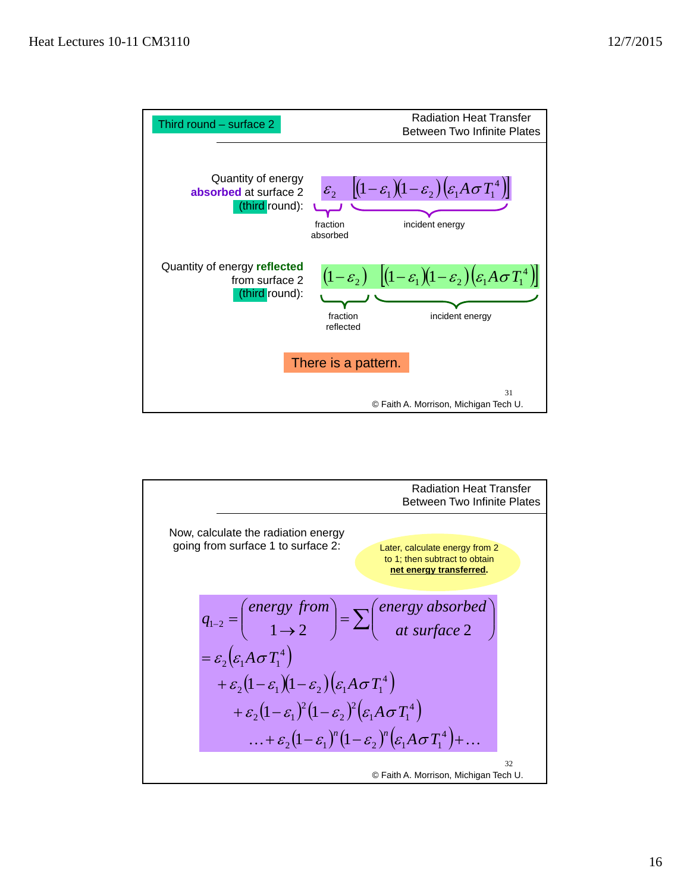

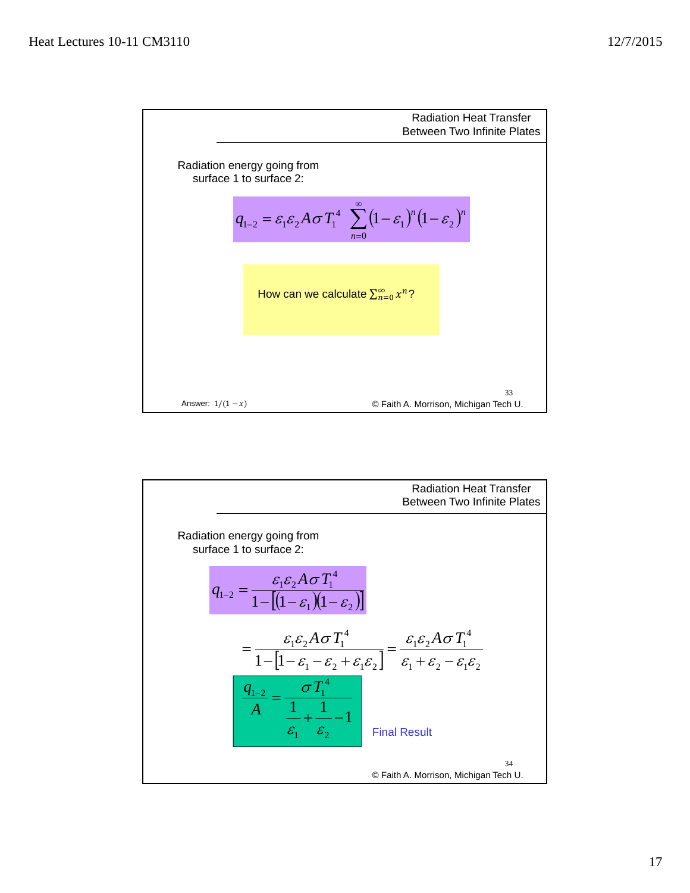

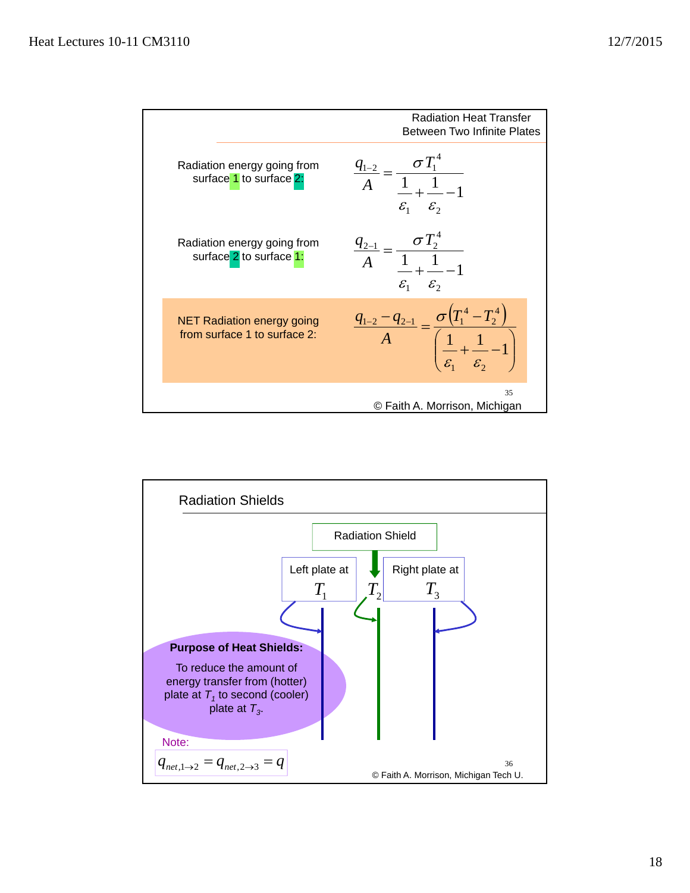

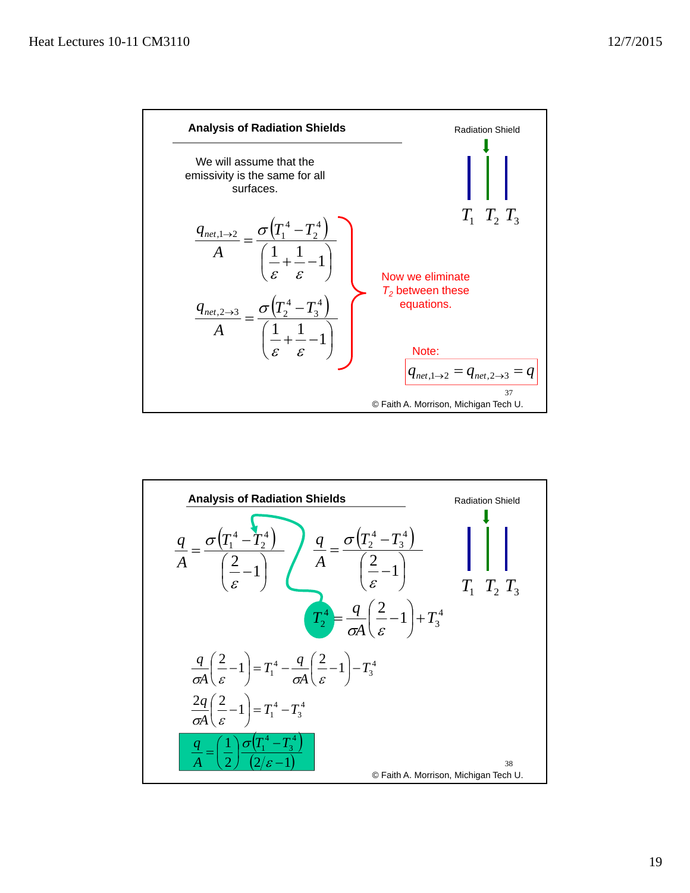

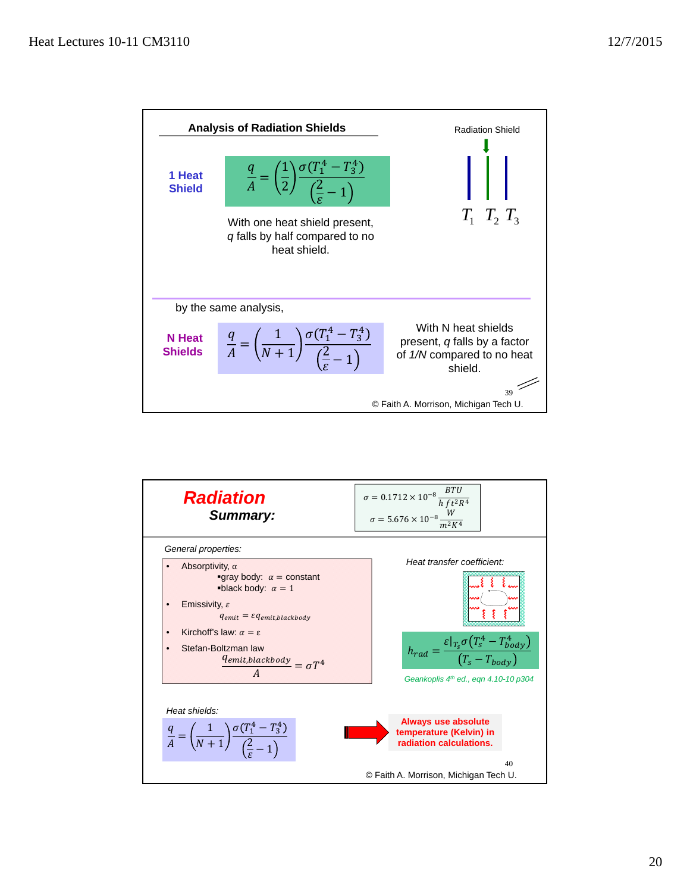

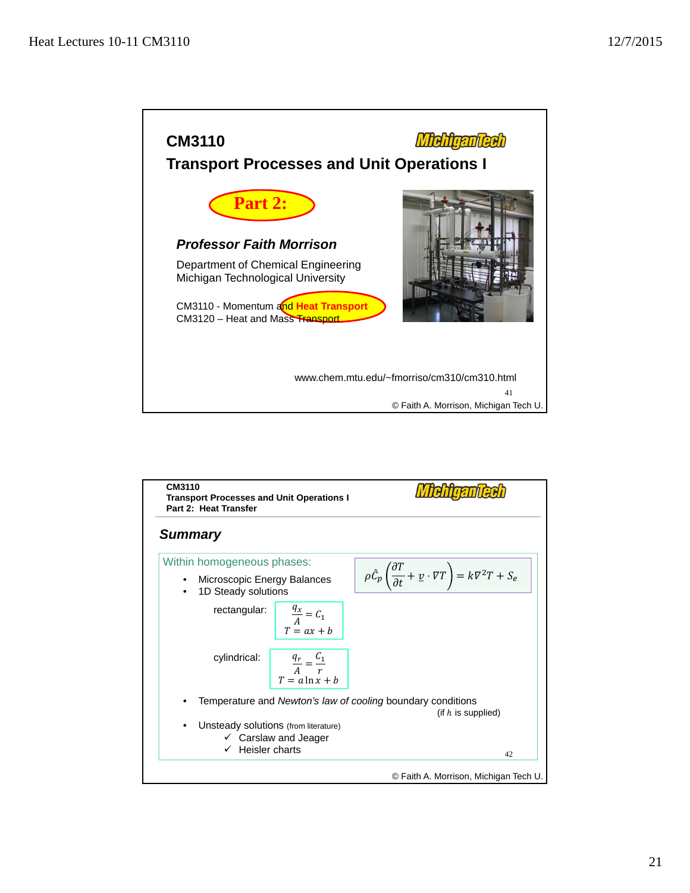

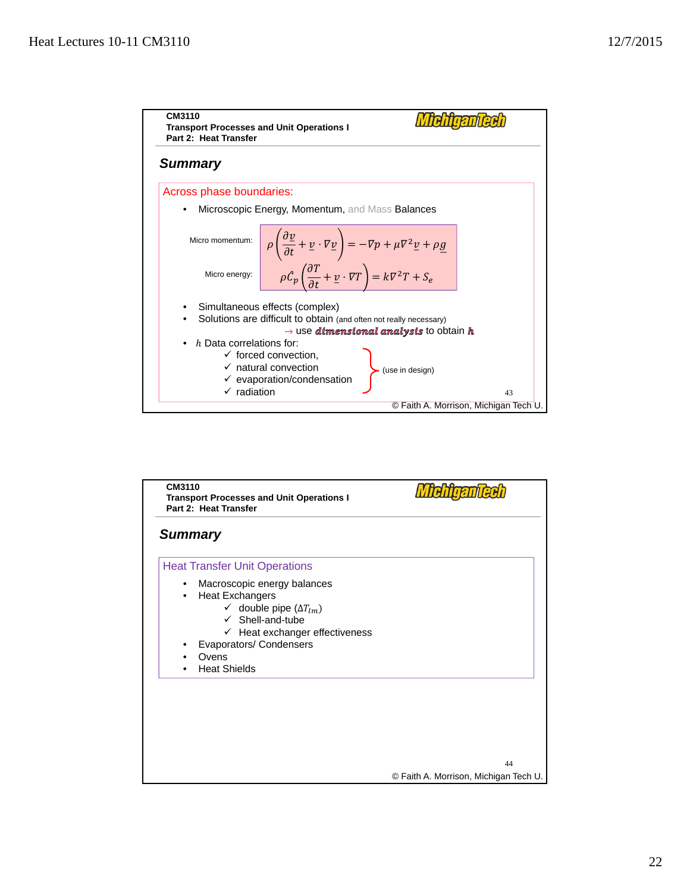